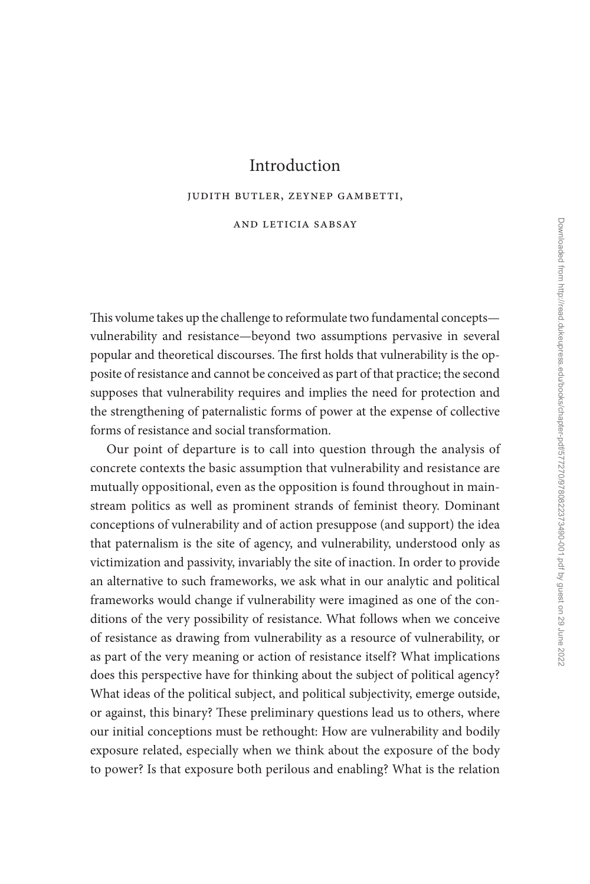## Introduction

[judith butler, zeynep gambetti,](#page--1-0) 

and leticia sabsay

This volume takes up the challenge to reformulate two fundamental concepts vulnerability and resistance—beyond two assumptions pervasive in several popular and theoretical discourses. The first holds that vulnerability is the opposite of resistance and cannot be conceived as part of that practice; the second supposes that vulnerability requires and implies the need for protection and the strengthening of paternalistic forms of power at the expense of collective forms of resistance and social transformation.

Our point of departure is to call into question through the analysis of concrete contexts the basic assumption that vulnerability and resistance are mutually oppositional, even as the opposition is found throughout in mainstream politics as well as prominent strands of feminist theory. Dominant conceptions of vulnerability and of action presuppose (and support) the idea that paternalism is the site of agency, and vulnerability, understood only as victimization and passivity, invariably the site of inaction. In order to provide an alternative to such frameworks, we ask what in our analytic and political frameworks would change if vulnerability were imagined as one of the conditions of the very possibility of resistance. What follows when we conceive of resistance as drawing from vulnerability as a resource of vulnerability, or as part of the very meaning or action of resistance itself? What implications does this perspective have for thinking about the subject of political agency? What ideas of the political subject, and political subjectivity, emerge outside, or against, this binary? These preliminary questions lead us to others, where our initial conceptions must be rethought: How are vulnerability and bodily exposure related, especially when we think about the exposure of the body to power? Is that exposure both perilous and enabling? What is the relation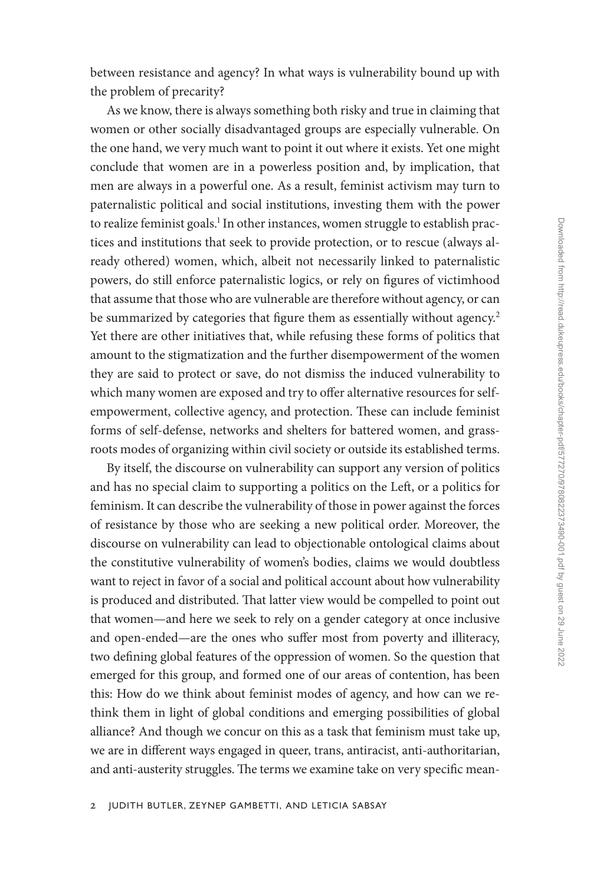between resistance and agency? In what ways is vulnerability bound up with the problem of precarity?

As we know, there is always something both risky and true in claiming that women or other socially disadvantaged groups are especially vulnerable. On the one hand, we very much want to point it out where it exists. Yet one might conclude that women are in a powerless position and, by implication, that men are always in a powerful one. As a result, feminist activism may turn to paternalistic political and social institutions, investing them with the power to realize feminist goals.<sup>1</sup> In other instances, women struggle to establish practices and institutions that seek to provide protection, or to rescue (always already othered) women, which, albeit not necessarily linked to paternalistic powers, do still enforce paternalistic logics, or rely on figures of victimhood that assume that those who are vulnerable are therefore without agency, or can be summarized by categories that figure them as essentially without agency.<sup>2</sup> Yet there are other initiatives that, while refusing these forms of politics that amount to the stigmatization and the further disempowerment of the women they are said to protect or save, do not dismiss the induced vulnerability to which many women are exposed and try to offer alternative resources for selfempowerment, collective agency, and protection. These can include feminist forms of self-defense, networks and shelters for battered women, and grassroots modes of organizing within civil society or outside its established terms.

By itself, the discourse on vulnerability can support any version of politics and has no special claim to supporting a politics on the Left, or a politics for feminism. It can describe the vulnerability of those in power against the forces of resistance by those who are seeking a new political order. Moreover, the discourse on vulnerability can lead to objectionable ontological claims about the constitutive vulnerability of women's bodies, claims we would doubtless want to reject in favor of a social and political account about how vulnerability is produced and distributed. That latter view would be compelled to point out that women—and here we seek to rely on a gender category at once inclusive and open-ended—are the ones who suffer most from poverty and illiteracy, two defining global features of the oppression of women. So the question that emerged for this group, and formed one of our areas of contention, has been this: How do we think about feminist modes of agency, and how can we rethink them in light of global conditions and emerging possibilities of global alliance? And though we concur on this as a task that feminism must take up, we are in different ways engaged in queer, trans, antiracist, anti-authoritarian, and anti-austerity struggles. The terms we examine take on very specific mean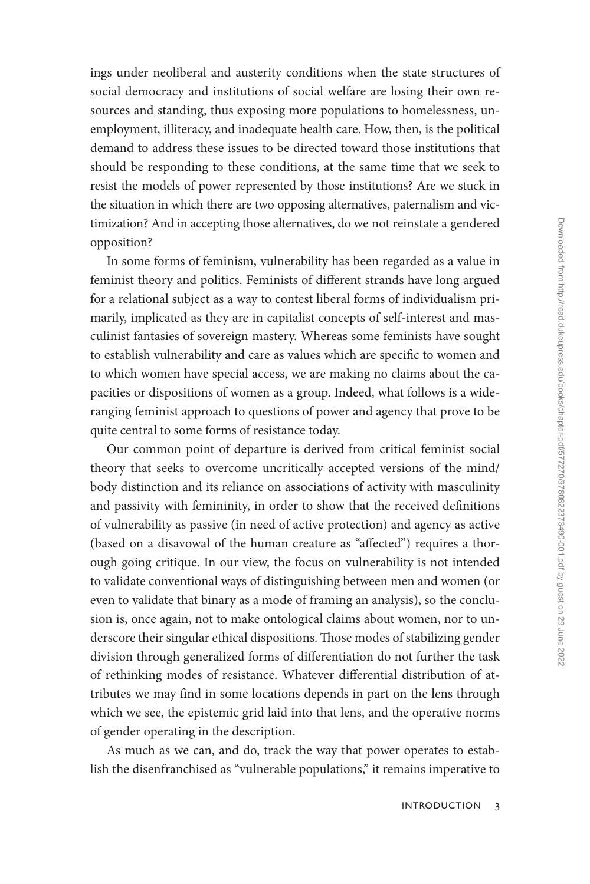ings under neoliberal and austerity conditions when the state structures of social democracy and institutions of social welfare are losing their own resources and standing, thus exposing more populations to homelessness, unemployment, illiteracy, and inadequate health care. How, then, is the political demand to address these issues to be directed toward those institutions that should be responding to these conditions, at the same time that we seek to resist the models of power represented by those institutions? Are we stuck in the situation in which there are two opposing alternatives, paternalism and victimization? And in accepting those alternatives, do we not reinstate a gendered opposition?

In some forms of feminism, vulnerability has been regarded as a value in feminist theory and politics. Feminists of different strands have long argued for a relational subject as a way to contest liberal forms of individualism primarily, implicated as they are in capitalist concepts of self-interest and masculinist fantasies of sovereign mastery. Whereas some feminists have sought to establish vulnerability and care as values which are specific to women and to which women have special access, we are making no claims about the capacities or dispositions of women as a group. Indeed, what follows is a wideranging feminist approach to questions of power and agency that prove to be quite central to some forms of resistance today.

Our common point of departure is derived from critical feminist social theory that seeks to overcome uncritically accepted versions of the mind/ body distinction and its reliance on associations of activity with masculinity and passivity with femininity, in order to show that the received definitions of vulnerability as passive (in need of active protection) and agency as active (based on a disavowal of the human creature as "affected") requires a thorough going critique. In our view, the focus on vulnerability is not intended to validate conventional ways of distinguishing between men and women (or even to validate that binary as a mode of framing an analysis), so the conclusion is, once again, not to make ontological claims about women, nor to underscore their singular ethical dispositions. Those modes of stabilizing gender division through generalized forms of differentiation do not further the task of rethinking modes of resistance. Whatever differential distribution of attributes we may find in some locations depends in part on the lens through which we see, the epistemic grid laid into that lens, and the operative norms of gender operating in the description.

As much as we can, and do, track the way that power operates to establish the disenfranchised as "vulnerable populations," it remains imperative to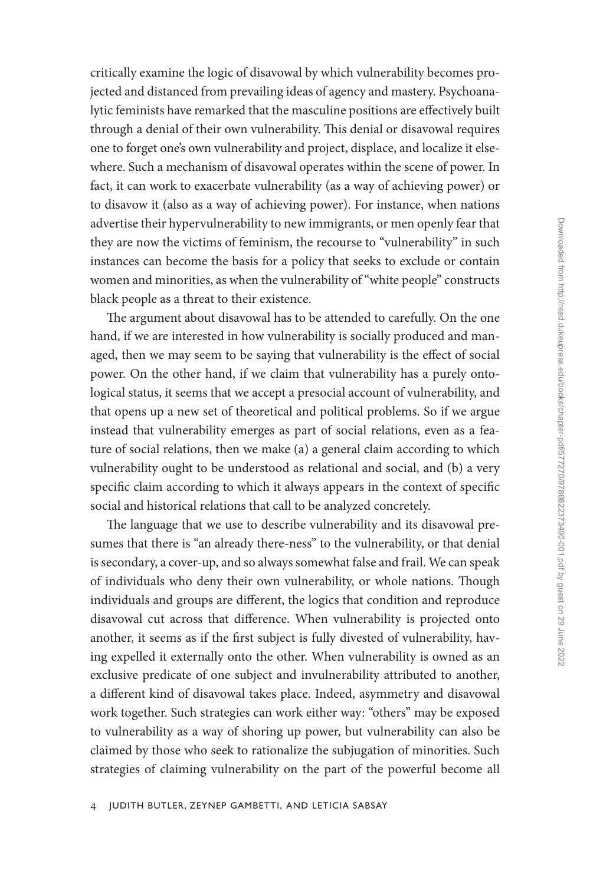critically examine the logic of disavowal by which vulnerability becomes projected and distanced from prevailing ideas of agency and mastery. Psychoanalytic feminists have remarked that the masculine positions are effectively built through a denial of their own vulnerability. This denial or disavowal requires one to forget one's own vulnerability and project, displace, and localize it elsewhere. Such a mechanism of disavowal operates within the scene of power. In fact, it can work to exacerbate vulnerability (as a way of achieving power) or to disavow it (also as a way of achieving power). For instance, when nations advertise their hypervulnerability to new immigrants, or men openly fear that they are now the victims of feminism, the recourse to "vulnerability" in such instances can become the basis for a policy that seeks to exclude or contain women and minorities, as when the vulnerability of "white people" constructs black people as a threat to their existence.

The argument about disavowal has to be attended to carefully. On the one hand, if we are interested in how vulnerability is socially produced and managed, then we may seem to be saying that vulnerability is the effect of social power. On the other hand, if we claim that vulnerability has a purely ontological status, it seems that we accept a presocial account of vulnerability, and that opens up a new set of theoretical and political problems. So if we argue instead that vulnerability emerges as part of social relations, even as a feature of social relations, then we make (a) a general claim according to which vulnerability ought to be understood as relational and social, and (b) a very specific claim according to which it always appears in the context of specific social and historical relations that call to be analyzed concretely.

The language that we use to describe vulnerability and its disavowal presumes that there is "an already there-ness" to the vulnerability, or that denial is secondary, a cover-up, and so always somewhat false and frail. We can speak of individuals who deny their own vulnerability, or whole nations. Though individuals and groups are different, the logics that condition and reproduce disavowal cut across that difference. When vulnerability is projected onto another, it seems as if the first subject is fully divested of vulnerability, having expelled it externally onto the other. When vulnerability is owned as an exclusive predicate of one subject and invulnerability attributed to another, a different kind of disavowal takes place. Indeed, asymmetry and disavowal work together. Such strategies can work either way: "others" may be exposed to vulnerability as a way of shoring up power, but vulnerability can also be claimed by those who seek to rationalize the subjugation of minorities. Such strategies of claiming vulnerability on the part of the powerful become all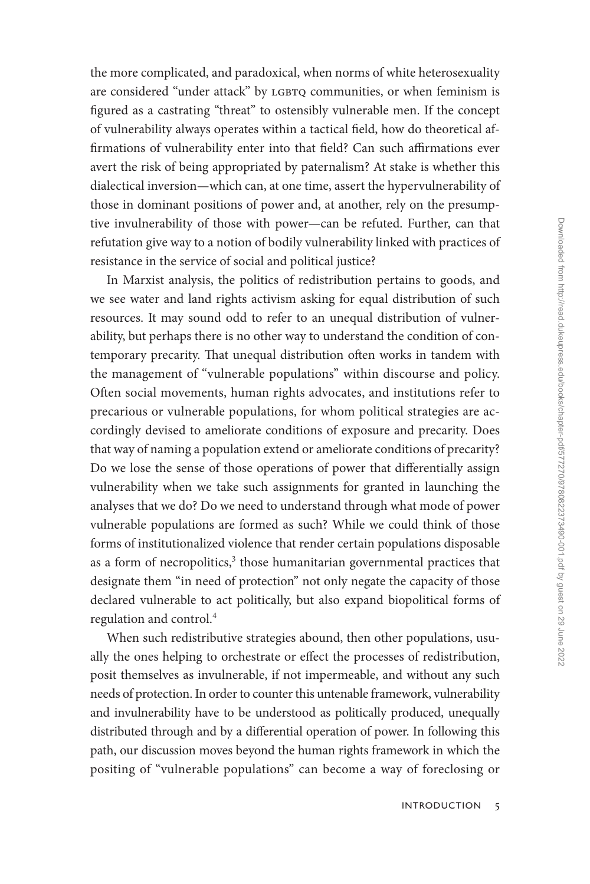the more complicated, and paradoxical, when norms of white heterosexuality are considered "under attack" by LGBTQ communities, or when feminism is figured as a castrating "threat" to ostensibly vulnerable men. If the concept of vulnerability always operates within a tactical field, how do theoretical affirmations of vulnerability enter into that field? Can such affirmations ever avert the risk of being appropriated by paternalism? At stake is whether this dialectical inversion—which can, at one time, assert the hypervulnerability of those in dominant positions of power and, at another, rely on the presumptive invulnerability of those with power—can be refuted. Further, can that refutation give way to a notion of bodily vulnerability linked with practices of resistance in the service of social and political justice?

In Marxist analysis, the politics of redistribution pertains to goods, and we see water and land rights activism asking for equal distribution of such resources. It may sound odd to refer to an unequal distribution of vulnerability, but perhaps there is no other way to understand the condition of contemporary precarity. That unequal distribution often works in tandem with the management of "vulnerable populations" within discourse and policy. Often social movements, human rights advocates, and institutions refer to precarious or vulnerable populations, for whom political strategies are accordingly devised to ameliorate conditions of exposure and precarity. Does that way of naming a population extend or ameliorate conditions of precarity? Do we lose the sense of those operations of power that differentially assign vulnerability when we take such assignments for granted in launching the analyses that we do? Do we need to understand through what mode of power vulnerable populations are formed as such? While we could think of those forms of institutionalized violence that render certain populations disposable as a form of necropolitics, $3$  those humanitarian governmental practices that designate them "in need of protection" not only negate the capacity of those declared vulnerable to act politically, but also expand biopolitical forms of regulation and control.[4](#page-10-0)

When such redistributive strategies abound, then other populations, usually the ones helping to orchestrate or effect the processes of redistribution, posit themselves as invulnerable, if not impermeable, and without any such needs of protection. In order to counter this untenable framework, vulnerability and invulnerability have to be understood as politically produced, unequally distributed through and by a differential operation of power. In following this path, our discussion moves beyond the human rights framework in which the positing of "vulnerable populations" can become a way of foreclosing or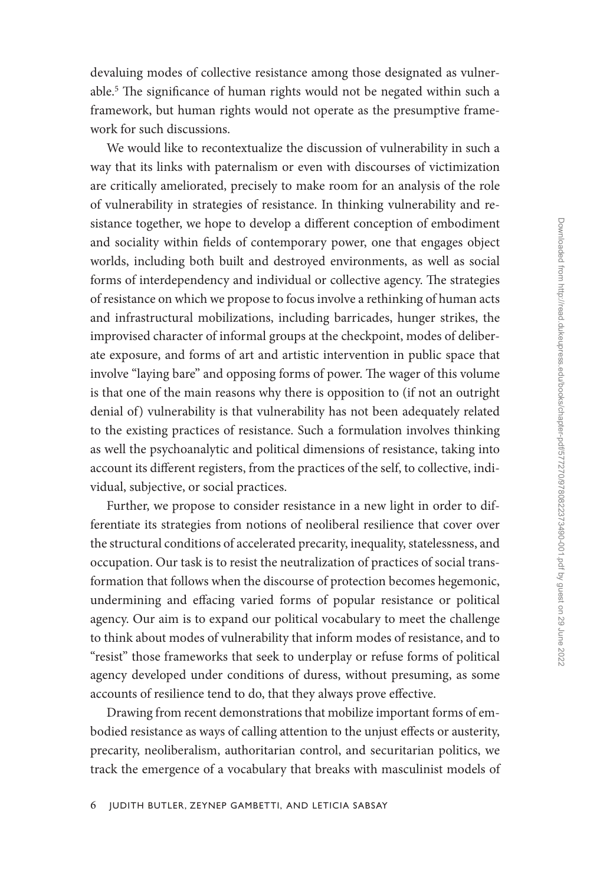devaluing modes of collective resistance among those designated as vulnerable.[5](#page-10-0) The significance of human rights would not be negated within such a framework, but human rights would not operate as the presumptive framework for such discussions.

We would like to recontextualize the discussion of vulnerability in such a way that its links with paternalism or even with discourses of victimization are critically ameliorated, precisely to make room for an analysis of the role of vulnerability in strategies of resistance. In thinking vulnerability and resistance together, we hope to develop a different conception of embodiment and sociality within fields of contemporary power, one that engages object worlds, including both built and destroyed environments, as well as social forms of interdependency and individual or collective agency. The strategies of resistance on which we propose to focus involve a rethinking of human acts and infrastructural mobilizations, including barricades, hunger strikes, the improvised character of informal groups at the checkpoint, modes of deliberate exposure, and forms of art and artistic intervention in public space that involve "laying bare" and opposing forms of power. The wager of this volume is that one of the main reasons why there is opposition to (if not an outright denial of) vulnerability is that vulnerability has not been adequately related to the existing practices of resistance. Such a formulation involves thinking as well the psychoanalytic and political dimensions of resistance, taking into account its different registers, from the practices of the self, to collective, individual, subjective, or social practices.

Further, we propose to consider resistance in a new light in order to differentiate its strategies from notions of neoliberal resilience that cover over the structural conditions of accelerated precarity, inequality, statelessness, and occupation. Our task is to resist the neutralization of practices of social transformation that follows when the discourse of protection becomes hegemonic, undermining and effacing varied forms of popular resistance or political agency. Our aim is to expand our political vocabulary to meet the challenge to think about modes of vulnerability that inform modes of resistance, and to "resist" those frameworks that seek to underplay or refuse forms of political agency developed under conditions of duress, without presuming, as some accounts of resilience tend to do, that they always prove effective.

Drawing from recent demonstrations that mobilize important forms of embodied resistance as ways of calling attention to the unjust effects or austerity, precarity, neoliberalism, authoritarian control, and securitarian politics, we track the emergence of a vocabulary that breaks with masculinist models of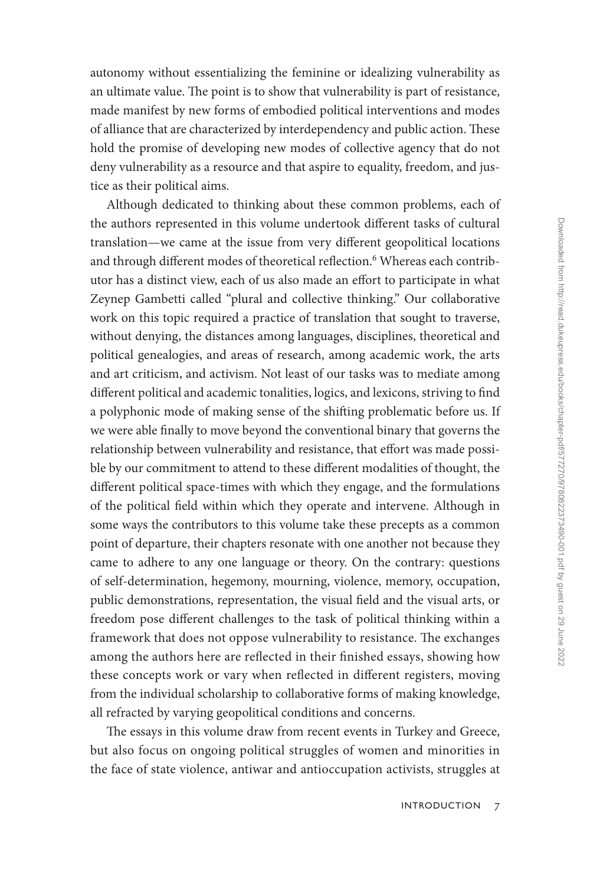autonomy without essentializing the feminine or idealizing vulnerability as an ultimate value. The point is to show that vulnerability is part of resistance, made manifest by new forms of embodied political interventions and modes of alliance that are characterized by interdependency and public action. These hold the promise of developing new modes of collective agency that do not deny vulnerability as a resource and that aspire to equality, freedom, and justice as their political aims.

Although dedicated to thinking about these common problems, each of the authors represented in this volume undertook different tasks of cultural translation—we came at the issue from very different geopolitical locations and through different modes of theoretical reflection.<sup>[6](#page-10-0)</sup> Whereas each contributor has a distinct view, each of us also made an effort to participate in what Zeynep Gambetti called "plural and collective thinking." Our collaborative work on this topic required a practice of translation that sought to traverse, without denying, the distances among languages, disciplines, theoretical and political genealogies, and areas of research, among academic work, the arts and art criticism, and activism. Not least of our tasks was to mediate among different political and academic tonalities, logics, and lexicons, striving to find a polyphonic mode of making sense of the shifting problematic before us. If we were able finally to move beyond the conventional binary that governs the relationship between vulnerability and resistance, that effort was made possible by our commitment to attend to these different modalities of thought, the different political space-times with which they engage, and the formulations of the political field within which they operate and intervene. Although in some ways the contributors to this volume take these precepts as a common point of departure, their chapters resonate with one another not because they came to adhere to any one language or theory. On the contrary: questions of self-determination, hegemony, mourning, violence, memory, occupation, public demonstrations, representation, the visual field and the visual arts, or freedom pose different challenges to the task of political thinking within a framework that does not oppose vulnerability to resistance. The exchanges among the authors here are reflected in their finished essays, showing how these concepts work or vary when reflected in different registers, moving from the individual scholarship to collaborative forms of making knowledge, all refracted by varying geopolitical conditions and concerns.

The essays in this volume draw from recent events in Turkey and Greece, but also focus on ongoing political struggles of women and minorities in the face of state violence, antiwar and antioccupation activists, struggles at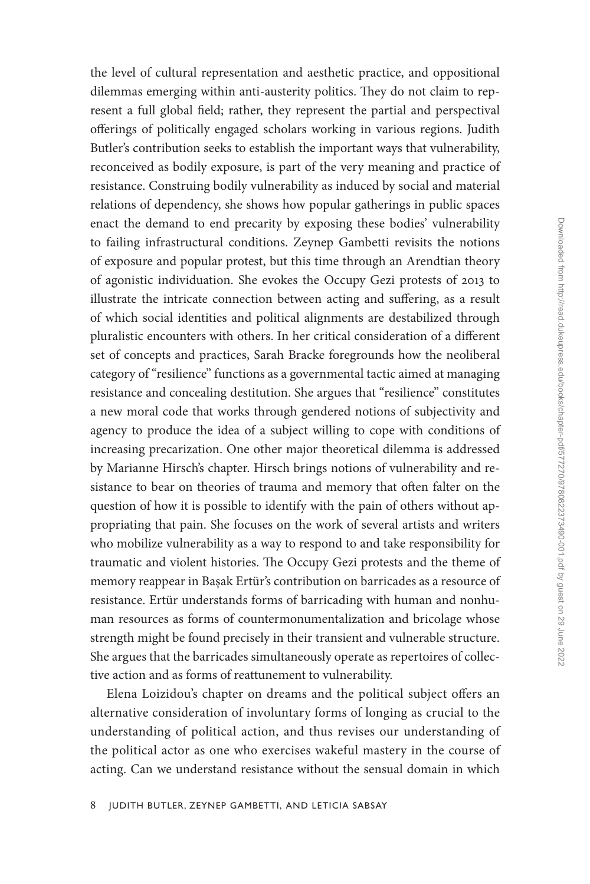the level of cultural representation and aesthetic practice, and oppositional dilemmas emerging within anti-austerity politics. They do not claim to represent a full global field; rather, they represent the partial and perspectival offerings of politically engaged scholars working in various regions. Judith Butler's contribution seeks to establish the important ways that vulnerability, reconceived as bodily exposure, is part of the very meaning and practice of resistance. Construing bodily vulnerability as induced by social and material relations of dependency, she shows how popular gatherings in public spaces enact the demand to end precarity by exposing these bodies' vulnerability to failing infrastructural conditions. Zeynep Gambetti revisits the notions of exposure and popular protest, but this time through an Arendtian theory of agonistic individuation. She evokes the Occupy Gezi protests of 2013 to illustrate the intricate connection between acting and suffering, as a result of which social identities and political alignments are destabilized through pluralistic encounters with others. In her critical consideration of a different set of concepts and practices, Sarah Bracke foregrounds how the neoliberal category of "resilience" functions as a governmental tactic aimed at managing resistance and concealing destitution. She argues that "resilience" constitutes a new moral code that works through gendered notions of subjectivity and agency to produce the idea of a subject willing to cope with conditions of increasing precarization. One other major theoretical dilemma is addressed by Marianne Hirsch's chapter. Hirsch brings notions of vulnerability and resistance to bear on theories of trauma and memory that often falter on the question of how it is possible to identify with the pain of others without appropriating that pain. She focuses on the work of several artists and writers who mobilize vulnerability as a way to respond to and take responsibility for traumatic and violent histories. The Occupy Gezi protests and the theme of memory reappear in Başak Ertür's contribution on barricades as a resource of resistance. Ertür understands forms of barricading with human and nonhuman resources as forms of countermonumentalization and bricolage whose strength might be found precisely in their transient and vulnerable structure. She argues that the barricades simultaneously operate as repertoires of collective action and as forms of reattunement to vulnerability.

Elena Loizidou's chapter on dreams and the political subject offers an alternative consideration of involuntary forms of longing as crucial to the understanding of political action, and thus revises our understanding of the political actor as one who exercises wakeful mastery in the course of acting. Can we understand resistance without the sensual domain in which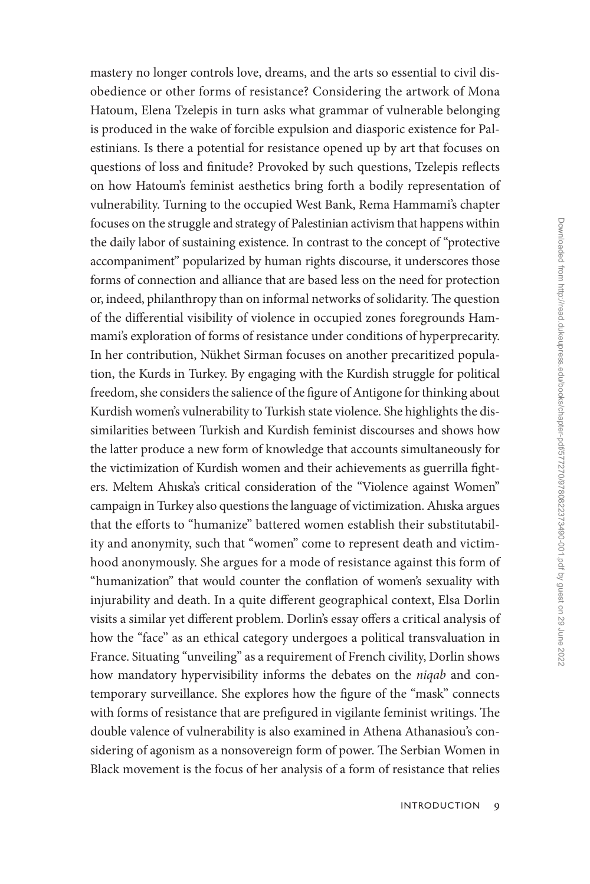mastery no longer controls love, dreams, and the arts so essential to civil disobedience or other forms of resistance? Considering the artwork of Mona Hatoum, Elena Tzelepis in turn asks what grammar of vulnerable belonging is produced in the wake of forcible expulsion and diasporic existence for Palestinians. Is there a potential for resistance opened up by art that focuses on questions of loss and finitude? Provoked by such questions, Tzelepis reflects on how Hatoum's feminist aesthetics bring forth a bodily representation of vulnerability. Turning to the occupied West Bank, Rema Hammami's chapter focuses on the struggle and strategy of Palestinian activism that happens within the daily labor of sustaining existence. In contrast to the concept of "protective accompaniment" popularized by human rights discourse, it underscores those forms of connection and alliance that are based less on the need for protection or, indeed, philanthropy than on informal networks of solidarity. The question of the differential visibility of violence in occupied zones foregrounds Hammami's exploration of forms of resistance under conditions of hyperprecarity. In her contribution, Nükhet Sirman focuses on another precaritized population, the Kurds in Turkey. By engaging with the Kurdish struggle for political freedom, she considers the salience of the figure of Antigone for thinking about Kurdish women's vulnerability to Turkish state violence. She highlights the dissimilarities between Turkish and Kurdish feminist discourses and shows how the latter produce a new form of knowledge that accounts simultaneously for the victimization of Kurdish women and their achievements as guerrilla fighters. Meltem Ahıska's critical consideration of the "Violence against Women" campaign in Turkey also questions the language of victimization. Ahıska argues that the efforts to "humanize" battered women establish their substitutability and anonymity, such that "women" come to represent death and victimhood anonymously. She argues for a mode of resistance against this form of "humanization" that would counter the conflation of women's sexuality with injurability and death. In a quite different geographical context, Elsa Dorlin visits a similar yet different problem. Dorlin's essay offers a critical analysis of how the "face" as an ethical category undergoes a political transvaluation in France. Situating "unveiling" as a requirement of French civility, Dorlin shows how mandatory hypervisibility informs the debates on the *niqab* and contemporary surveillance. She explores how the figure of the "mask" connects with forms of resistance that are prefigured in vigilante feminist writings. The double valence of vulnerability is also examined in Athena Athanasiou's considering of agonism as a nonsovereign form of power. The Serbian Women in Black movement is the focus of her analysis of a form of resistance that relies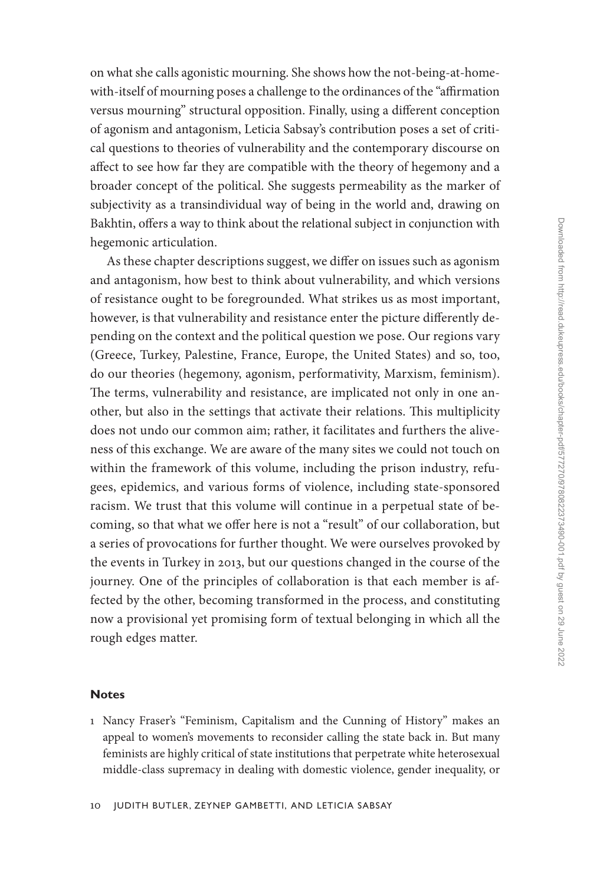<span id="page-9-0"></span>on what she calls agonistic mourning. She shows how the not-being-at-homewith-itself of mourning poses a challenge to the ordinances of the "affirmation versus mourning" structural opposition. Finally, using a different conception of agonism and antagonism, Leticia Sabsay's contribution poses a set of critical questions to theories of vulnerability and the contemporary discourse on affect to see how far they are compatible with the theory of hegemony and a broader concept of the political. She suggests permeability as the marker of subjectivity as a transindividual way of being in the world and, drawing on Bakhtin, offers a way to think about the relational subject in conjunction with hegemonic articulation.

As these chapter descriptions suggest, we differ on issues such as agonism and antagonism, how best to think about vulnerability, and which versions of resistance ought to be foregrounded. What strikes us as most important, however, is that vulnerability and resistance enter the picture differently depending on the context and the political question we pose. Our regions vary (Greece, Turkey, Palestine, France, Europe, the United States) and so, too, do our theories (hegemony, agonism, performativity, Marxism, feminism). The terms, vulnerability and resistance, are implicated not only in one another, but also in the settings that activate their relations. This multiplicity does not undo our common aim; rather, it facilitates and furthers the aliveness of this exchange. We are aware of the many sites we could not touch on within the framework of this volume, including the prison industry, refugees, epidemics, and various forms of violence, including state-sponsored racism. We trust that this volume will continue in a perpetual state of becoming, so that what we offer here is not a "result" of our collaboration, but a series of provocations for further thought. We were ourselves provoked by the events in Turkey in 2013, but our questions changed in the course of the journey. One of the principles of collaboration is that each member is affected by the other, becoming transformed in the process, and constituting now a provisional yet promising form of textual belonging in which all the rough edges matter.

## **Notes**

1 Nancy Fraser's "Feminism, Capitalism and the Cunning of History" makes an appeal to women's movements to reconsider calling the state back in. But many feminists are highly critical of state institutions that perpetrate white heterosexual middle-class supremacy in dealing with domestic violence, gender inequality, or